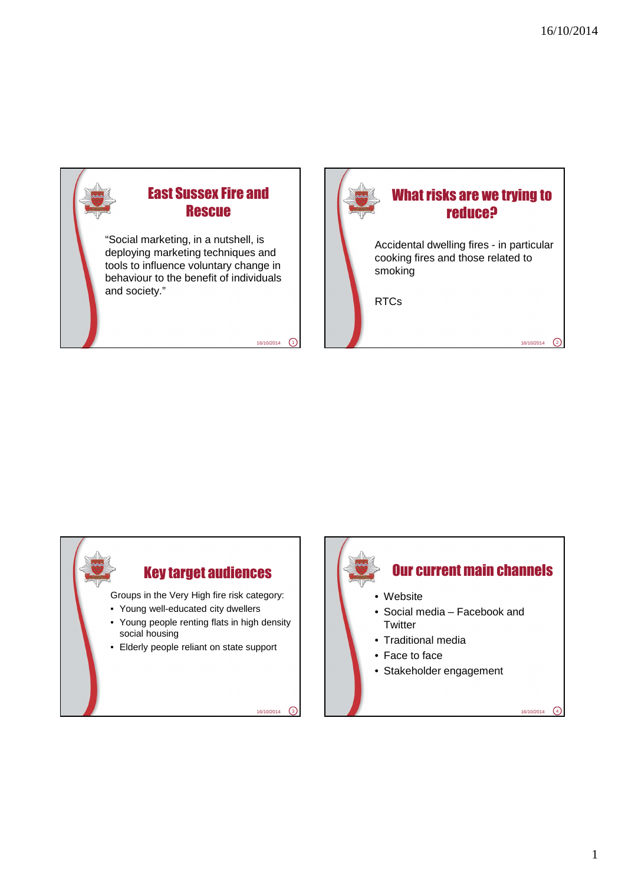

 $16/10/2014$   $(1)$